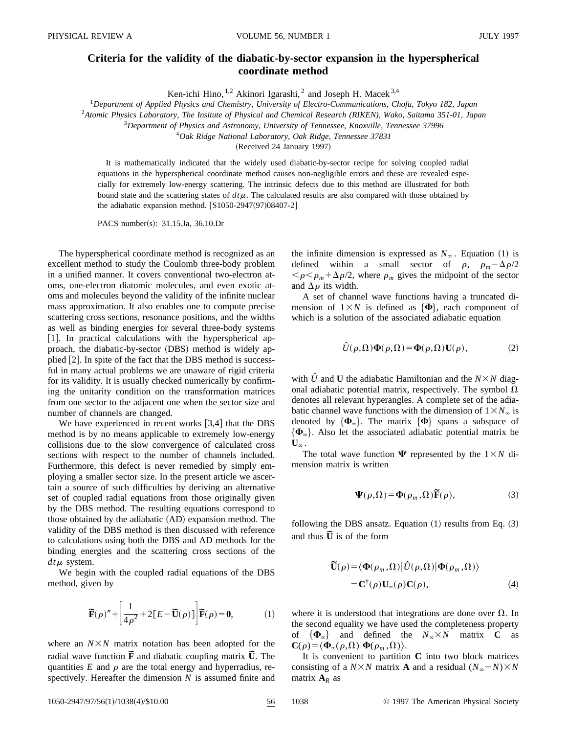## **Criteria for the validity of the diabatic-by-sector expansion in the hyperspherical coordinate method**

Ken-ichi Hino, <sup>1,2</sup> Akinori Igarashi, <sup>2</sup> and Joseph H. Macek<sup>3,4</sup>

<sup>1</sup>*Department of Applied Physics and Chemistry, University of Electro-Communications, Chofu, Tokyo 182, Japan*

<sup>2</sup>*Atomic Physics Laboratory, The Insitute of Physical and Chemical Research (RIKEN), Wako, Saitama 351-01, Japan*

<sup>3</sup>*Department of Physics and Astronomy, University of Tennessee, Knoxville, Tennessee 37996*

<sup>4</sup>*Oak Ridge National Laboratory, Oak Ridge, Tennessee 37831*

(Received 24 January 1997)

It is mathematically indicated that the widely used diabatic-by-sector recipe for solving coupled radial equations in the hyperspherical coordinate method causes non-negligible errors and these are revealed especially for extremely low-energy scattering. The intrinsic defects due to this method are illustrated for both bound state and the scattering states of  $dt\mu$ . The calculated results are also compared with those obtained by the adiabatic expansion method.  $[S1050-2947(97)08407-2]$ 

PACS number(s): 31.15.Ja, 36.10.Dr

The hyperspherical coordinate method is recognized as an excellent method to study the Coulomb three-body problem in a unified manner. It covers conventional two-electron atoms, one-electron diatomic molecules, and even exotic atoms and molecules beyond the validity of the infinite nuclear mass approximation. It also enables one to compute precise scattering cross sections, resonance positions, and the widths as well as binding energies for several three-body systems  $[1]$ . In practical calculations with the hyperspherical approach, the diabatic-by-sector (DBS) method is widely applied  $[2]$ . In spite of the fact that the DBS method is successful in many actual problems we are unaware of rigid criteria for its validity. It is usually checked numerically by confirming the unitarity condition on the transformation matrices from one sector to the adjacent one when the sector size and number of channels are changed.

We have experienced in recent works  $[3,4]$  that the DBS method is by no means applicable to extremely low-energy collisions due to the slow convergence of calculated cross sections with respect to the number of channels included. Furthermore, this defect is never remedied by simply employing a smaller sector size. In the present article we ascertain a source of such difficulties by deriving an alternative set of coupled radial equations from those originally given by the DBS method. The resulting equations correspond to those obtained by the adiabatic (AD) expansion method. The validity of the DBS method is then discussed with reference to calculations using both the DBS and AD methods for the binding energies and the scattering cross sections of the  $dt\mu$  system.

We begin with the coupled radial equations of the DBS method, given by

$$
\widetilde{\mathbf{F}}(\rho)'' + \left[\frac{1}{4\rho^2} + 2[E - \widetilde{\mathbf{U}}(\rho)]\right] \widetilde{\mathbf{F}}(\rho) = \mathbf{0},\tag{1}
$$

where an  $N \times N$  matrix notation has been adopted for the radial wave function  $\tilde{F}$  and diabatic coupling matrix  $\tilde{U}$ . The quantities  $E$  and  $\rho$  are the total energy and hyperradius, respectively. Hereafter the dimension *N* is assumed finite and the infinite dimension is expressed as  $N_\infty$ . Equation (1) is defined within a small sector of  $\rho$ ,  $\rho_m - \Delta \rho/2$  $\langle \rho \rangle \langle \rho_m + \Delta \rho / 2$ , where  $\rho_m$  gives the midpoint of the sector and  $\Delta \rho$  its width.

A set of channel wave functions having a truncated dimension of  $1 \times N$  is defined as  $\{\Phi\}$ , each component of which is a solution of the associated adiabatic equation

$$
\hat{U}(\rho,\Omega)\Phi(\rho,\Omega) = \Phi(\rho,\Omega)\mathbf{U}(\rho),\tag{2}
$$

with  $\hat{U}$  and **U** the adiabatic Hamiltonian and the  $N \times N$  diagonal adiabatic potential matrix, respectively. The symbol  $\Omega$ denotes all relevant hyperangles. A complete set of the adiabatic channel wave functions with the dimension of  $1 \times N_\infty$  is denoted by  $\{\Phi_{\infty}\}\$ . The matrix  $\{\Phi\}$  spans a subspace of  $\{\Phi_{\infty}\}\$ . Also let the associated adiabatic potential matrix be  $\mathbf{U}_{\infty}$ .

The total wave function  $\Psi$  represented by the  $1 \times N$  dimension matrix is written

$$
\Psi(\rho,\Omega) = \Phi(\rho_m,\Omega)\widetilde{\mathbf{F}}(\rho),\tag{3}
$$

following the DBS ansatz. Equation  $(1)$  results from Eq.  $(3)$ and thus  $\tilde{U}$  is of the form

$$
\begin{aligned} \widetilde{\mathbf{U}}(\rho) &= \langle \Phi(\rho_m, \Omega) | \hat{U}(\rho, \Omega) | \Phi(\rho_m, \Omega) \rangle \\ &= \mathbf{C}^\dagger(\rho) \mathbf{U}_{\infty}(\rho) \mathbf{C}(\rho), \end{aligned} \tag{4}
$$

where it is understood that integrations are done over  $\Omega$ . In the second equality we have used the completeness property of  $\{\Phi_{\infty}\}\$  and defined the  $N_{\infty}\times N$  matrix **C** as  $\mathbf{C}(\rho) = \langle \mathbf{\Phi}_{\infty}(\rho,\Omega) | \mathbf{\Phi}(\rho_m,\Omega) \rangle.$ 

It is convenient to partition **C** into two block matrices consisting of a  $N \times N$  matrix **A** and a residual  $(N_{\infty}-N) \times N$ matrix  $A_R$  as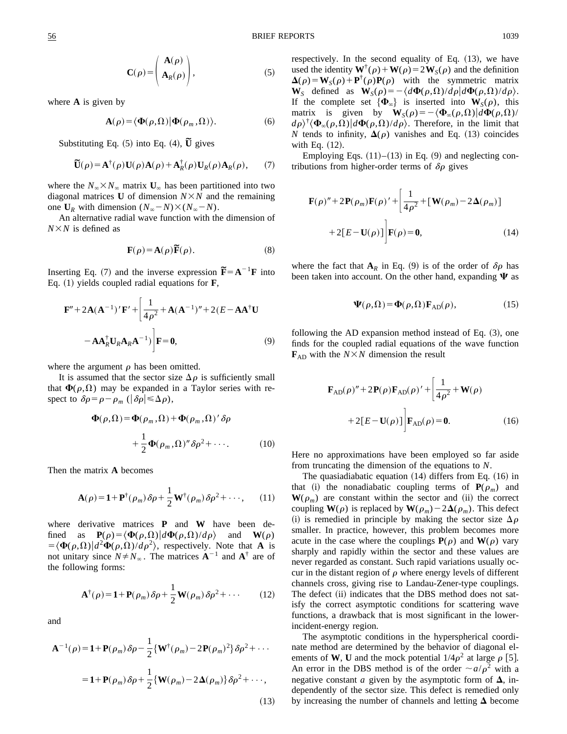$$
\mathbf{C}(\rho) = \begin{pmatrix} \mathbf{A}(\rho) \\ \mathbf{A}_R(\rho) \end{pmatrix},\tag{5}
$$

where **A** is given by

$$
\mathbf{A}(\rho) = \langle \mathbf{\Phi}(\rho, \Omega) | \mathbf{\Phi}(\rho_m, \Omega) \rangle. \tag{6}
$$

Substituting Eq.  $(5)$  into Eq.  $(4)$ ,  $\widetilde{U}$  gives

$$
\widetilde{\mathbf{U}}(\rho) = \mathbf{A}^{\dagger}(\rho)\mathbf{U}(\rho)\mathbf{A}(\rho) + \mathbf{A}^{\dagger}_{R}(\rho)\mathbf{U}_{R}(\rho)\mathbf{A}_{R}(\rho), \qquad (7)
$$

where the  $N_{\infty} \times N_{\infty}$  matrix  $U_{\infty}$  has been partitioned into two diagonal matrices **U** of dimension  $N \times N$  and the remaining one  $U_R$  with dimension  $(N_\infty - N) \times (N_\infty - N)$ .

An alternative radial wave function with the dimension of  $N \times N$  is defined as

$$
\mathbf{F}(\rho) = \mathbf{A}(\rho)\widetilde{\mathbf{F}}(\rho).
$$
 (8)

Inserting Eq. (7) and the inverse expression  $\mathbf{\tilde{F}} = \mathbf{A}^{-1}\mathbf{F}$  into Eq.  $(1)$  yields coupled radial equations for **F**,

$$
\mathbf{F}'' + 2\mathbf{A}(\mathbf{A}^{-1})'\mathbf{F}' + \left[\frac{1}{4\rho^2} + \mathbf{A}(\mathbf{A}^{-1})'' + 2(E - \mathbf{A}\mathbf{A}^\dagger\mathbf{U} - \mathbf{A}\mathbf{A}_R^\dagger\mathbf{U}_R\mathbf{A}_R\mathbf{A}^{-1})\right]\mathbf{F} = \mathbf{0},
$$
\n(9)

where the argument  $\rho$  has been omitted.

It is assumed that the sector size  $\Delta \rho$  is sufficiently small that  $\Phi(\rho,\Omega)$  may be expanded in a Taylor series with respect to  $\delta \rho = \rho - \rho_m$  ( $|\delta \rho| \leq \Delta \rho$ ),

$$
\Phi(\rho,\Omega) = \Phi(\rho_m,\Omega) + \Phi(\rho_m,\Omega)'\,\delta\rho
$$

$$
+ \frac{1}{2}\Phi(\rho_m,\Omega)''\,\delta\rho^2 + \cdots. \tag{10}
$$

Then the matrix **A** becomes

$$
\mathbf{A}(\rho) = \mathbf{1} + \mathbf{P}^{\dagger}(\rho_m) \,\delta \rho + \frac{1}{2} \mathbf{W}^{\dagger}(\rho_m) \,\delta \rho^2 + \cdots,\qquad(11)
$$

where derivative matrices **P** and **W** have been defined as  $P(\rho) = \langle \Phi(\rho,\Omega) | d\Phi(\rho,\Omega)/d\rho \rangle$  and  $W(\rho)$  $=\langle \Phi(\rho,\Omega)|d^2\Phi(\rho,\Omega)/d\rho^2 \rangle$ , respectively. Note that **A** is not unitary since  $N \neq N_\infty$ . The matrices  $A^{-1}$  and  $A^{\dagger}$  are of the following forms:

$$
\mathbf{A}^{\dagger}(\rho) = \mathbf{1} + \mathbf{P}(\rho_m) \,\delta \rho + \frac{1}{2} \mathbf{W}(\rho_m) \,\delta \rho^2 + \cdots \qquad (12)
$$

and

$$
\mathbf{A}^{-1}(\rho) = \mathbf{1} + \mathbf{P}(\rho_m) \delta \rho - \frac{1}{2} \{ \mathbf{W}^{\dagger}(\rho_m) - 2 \mathbf{P}(\rho_m)^2 \} \delta \rho^2 + \cdots
$$
  

$$
= \mathbf{1} + \mathbf{P}(\rho_m) \delta \rho + \frac{1}{2} \{ \mathbf{W}(\rho_m) - 2 \Delta(\rho_m) \} \delta \rho^2 + \cdots,
$$
 (13)

respectively. In the second equality of Eq.  $(13)$ , we have used the identity  $\mathbf{W}^{\dagger}(\rho) + \mathbf{W}(\rho) = 2\mathbf{W}_S(\rho)$  and the definition  $\Delta(\rho) = W_S(\rho) + P^{\dagger}(\rho)P(\rho)$  with the symmetric matrix **W**<sub>S</sub> defined as  $\mathbf{W}_S(\rho) = -\langle d\mathbf{\Phi}(\rho,\Omega)/d\rho \rangle d\mathbf{\Phi}(\rho,\Omega)/d\rho \rangle.$ If the complete set  $\{\Phi_{\infty}\}\$ is inserted into  $W_S(\rho)$ , this matrix is given by  $\mathbf{W}_S(\rho) = -\langle \mathbf{\Phi}_{\infty}(\rho,\Omega) | d\mathbf{\Phi}(\rho,\Omega) \rangle$  $d\rho$ <sup>†</sup> $\langle \Phi_{\infty}(\rho,\Omega)|d\Phi(\rho,\Omega)/d\rho\rangle$ . Therefore, in the limit that *N* tends to infinity,  $\Delta(\rho)$  vanishes and Eq. (13) coincides with Eq.  $(12)$ .

Employing Eqs.  $(11)–(13)$  in Eq.  $(9)$  and neglecting contributions from higher-order terms of  $\delta \rho$  gives

$$
\mathbf{F}(\rho)'' + 2\mathbf{P}(\rho_m)\mathbf{F}(\rho)'+\left[\frac{1}{4\rho^2} + [\mathbf{W}(\rho_m) - 2\mathbf{\Delta}(\rho_m)]\right] \n+2[E-\mathbf{U}(\rho)]\bigg|\mathbf{F}(\rho) = \mathbf{0},
$$
\n(14)

where the fact that  $A_R$  in Eq. (9) is of the order of  $\delta \rho$  has been taken into account. On the other hand, expanding  $\Psi$  as

$$
\mathbf{\Psi}(\rho,\Omega) = \mathbf{\Phi}(\rho,\Omega)\mathbf{F}_{AD}(\rho),\tag{15}
$$

following the AD expansion method instead of Eq.  $(3)$ , one finds for the coupled radial equations of the wave function  $\mathbf{F}_{AD}$  with the *N* $\times$ *N* dimension the result

$$
\mathbf{F}_{AD}(\rho)'' + 2\mathbf{P}(\rho)\mathbf{F}_{AD}(\rho)' + \left[\frac{1}{4\rho^2} + \mathbf{W}(\rho) + 2\left[E - \mathbf{U}(\rho)\right]\right]\mathbf{F}_{AD}(\rho) = \mathbf{0}.
$$
 (16)

Here no approximations have been employed so far aside from truncating the dimension of the equations to *N*.

The quasiadiabatic equation  $(14)$  differs from Eq.  $(16)$  in that (i) the nonadiabatic coupling terms of  $P(\rho_m)$  and  $W(\rho_m)$  are constant within the sector and (ii) the correct coupling  $W(\rho)$  is replaced by  $W(\rho_m) - 2\Delta(\rho_m)$ . This defect (i) is remedied in principle by making the sector size  $\Delta \rho$ smaller. In practice, however, this problem becomes more acute in the case where the couplings  $P(\rho)$  and  $W(\rho)$  vary sharply and rapidly within the sector and these values are never regarded as constant. Such rapid variations usually occur in the distant region of  $\rho$  where energy levels of different channels cross, giving rise to Landau-Zener-type couplings. The defect (ii) indicates that the DBS method does not satisfy the correct asymptotic conditions for scattering wave functions, a drawback that is most significant in the lowerincident-energy region.

The asymptotic conditions in the hyperspherical coordinate method are determined by the behavior of diagonal elements of **W**, **U** and the mock potential  $1/4\rho^2$  at large  $\rho$  [5]. An error in the DBS method is of the order  $\sim a/\rho^2$  with a negative constant *a* given by the asymptotic form of  $\Delta$ , independently of the sector size. This defect is remedied only by increasing the number of channels and letting  $\Delta$  become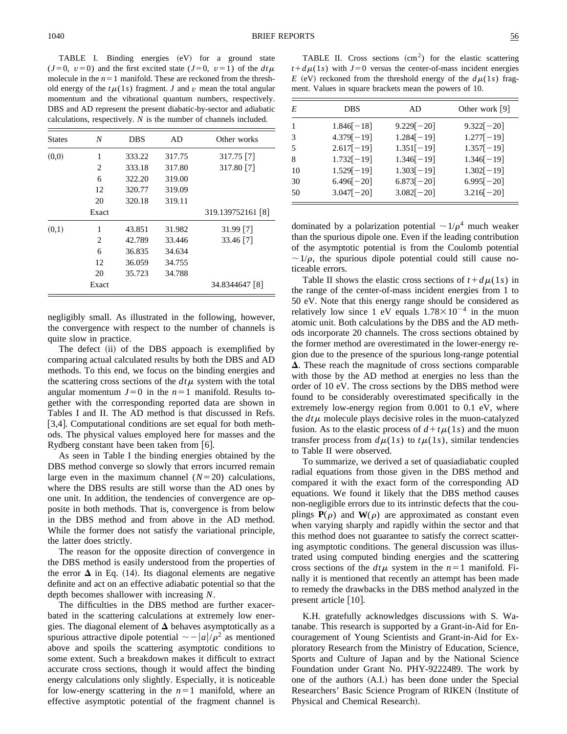TABLE I. Binding energies  $(eV)$  for a ground state  $(J=0, v=0)$  and the first excited state  $(J=0, v=1)$  of the  $dt\mu$ molecule in the  $n=1$  manifold. These are reckoned from the threshold energy of the  $t\mu(1s)$  fragment. *J* and *v* mean the total angular momentum and the vibrational quantum numbers, respectively. DBS and AD represent the present diabatic-by-sector and adiabatic calculations, respectively. *N* is the number of channels included.

| <b>States</b> | N     | <b>DBS</b> | AD     | Other works       |
|---------------|-------|------------|--------|-------------------|
| (0,0)         | 1     | 333.22     | 317.75 | $317.75$ [7]      |
|               | 2     | 333.18     | 317.80 | 317.80 [7]        |
|               | 6     | 322.20     | 319.00 |                   |
|               | 12    | 320.77     | 319.09 |                   |
|               | 20    | 320.18     | 319.11 |                   |
|               | Exact |            |        | 319.139752161 [8] |
| (0,1)         | 1     | 43.851     | 31.982 | $31.99$ [7]       |
|               | 2     | 42.789     | 33.446 | 33.46 [7]         |
|               | 6     | 36.835     | 34.634 |                   |
|               | 12    | 36.059     | 34.755 |                   |
|               | 20    | 35.723     | 34.788 |                   |
|               | Exact |            |        | 34.8344647 [8]    |

negligibly small. As illustrated in the following, however, the convergence with respect to the number of channels is quite slow in practice.

The defect (ii) of the DBS appoach is exemplified by comparing actual calculated results by both the DBS and AD methods. To this end, we focus on the binding energies and the scattering cross sections of the  $dt\mu$  system with the total angular momentum  $J=0$  in the  $n=1$  manifold. Results together with the corresponding reported data are shown in Tables I and II. The AD method is that discussed in Refs. [3,4]. Computational conditions are set equal for both methods. The physical values employed here for masses and the Rydberg constant have been taken from  $\lceil 6 \rceil$ .

As seen in Table I the binding energies obtained by the DBS method converge so slowly that errors incurred remain large even in the maximum channel  $(N=20)$  calculations, where the DBS results are still worse than the AD ones by one unit. In addition, the tendencies of convergence are opposite in both methods. That is, convergence is from below in the DBS method and from above in the AD method. While the former does not satisfy the variational principle, the latter does strictly.

The reason for the opposite direction of convergence in the DBS method is easily understood from the properties of the error  $\Delta$  in Eq. (14). Its diagonal elements are negative definite and act on an effective adiabatic potential so that the depth becomes shallower with increasing *N*.

The difficulties in the DBS method are further exacerbated in the scattering calculations at extremely low energies. The diagonal element of  $\Delta$  behaves asymptotically as a spurious attractive dipole potential  $\sim -|a|/\rho^2$  as mentioned above and spoils the scattering asymptotic conditions to some extent. Such a breakdown makes it difficult to extract accurate cross sections, though it would affect the binding energy calculations only slightly. Especially, it is noticeable for low-energy scattering in the  $n=1$  manifold, where an effective asymptotic potential of the fragment channel is

TABLE II. Cross sections  $(cm<sup>2</sup>)$  for the elastic scattering  $t+d\mu(1s)$  with  $J=0$  versus the center-of-mass incident energies *E* (eV) reckoned from the threshold energy of the  $d\mu(1s)$  fragment. Values in square brackets mean the powers of 10.

| E  | <b>DBS</b>   | AD           | Other work $[9]$ |
|----|--------------|--------------|------------------|
|    | $1.846[-18]$ | $9.229[-20]$ | $9.322[-20]$     |
| 3  | $4.379[-19]$ | $1.284[-19]$ | $1.277[-19]$     |
| 5  | $2.617[-19]$ | $1.351[-19]$ | $1.357[-19]$     |
| 8  | $1.732[-19]$ | $1.346[-19]$ | $1.346[-19]$     |
| 10 | $1.529[-19]$ | $1.303[-19]$ | $1.302[-19]$     |
| 30 | $6.496[-20]$ | $6.873[-20]$ | $6.995[-20]$     |
| 50 | $3.047[-20]$ | $3.082[-20]$ | $3.216[-20]$     |

dominated by a polarization potential  $\sim 1/\rho^4$  much weaker than the spurious dipole one. Even if the leading contribution of the asymptotic potential is from the Coulomb potential  $\sim 1/\rho$ , the spurious dipole potential could still cause noticeable errors.

Table II shows the elastic cross sections of  $t+d\mu(1s)$  in the range of the center-of-mass incident energies from 1 to 50 eV. Note that this energy range should be considered as relatively low since 1 eV equals  $1.78\times10^{-4}$  in the muon atomic unit. Both calculations by the DBS and the AD methods incorporate 20 channels. The cross sections obtained by the former method are overestimated in the lower-energy region due to the presence of the spurious long-range potential  $\Delta$ . These reach the magnitude of cross sections comparable with those by the AD method at energies no less than the order of 10 eV. The cross sections by the DBS method were found to be considerably overestimated specifically in the extremely low-energy region from 0.001 to 0.1 eV, where the  $dt\mu$  molecule plays decisive roles in the muon-catalyzed fusion. As to the elastic process of  $d + t\mu(1s)$  and the muon transfer process from  $d\mu(1s)$  to  $t\mu(1s)$ , similar tendencies to Table II were observed.

To summarize, we derived a set of quasiadiabatic coupled radial equations from those given in the DBS method and compared it with the exact form of the corresponding AD equations. We found it likely that the DBS method causes non-negligible errors due to its intrinstic defects that the couplings  $P(\rho)$  and  $W(\rho)$  are approximated as constant even when varying sharply and rapidly within the sector and that this method does not guarantee to satisfy the correct scattering asymptotic conditions. The general discussion was illustrated using computed binding energies and the scattering cross sections of the  $dt\mu$  system in the  $n=1$  manifold. Finally it is mentioned that recently an attempt has been made to remedy the drawbacks in the DBS method analyzed in the present article  $[10]$ .

K.H. gratefully acknowledges discussions with S. Watanabe. This research is supported by a Grant-in-Aid for Encouragement of Young Scientists and Grant-in-Aid for Exploratory Research from the Ministry of Education, Science, Sports and Culture of Japan and by the National Science Foundation under Grant No. PHY-9222489. The work by one of the authors  $(A.I.)$  has been done under the Special Researchers' Basic Science Program of RIKEN (Institute of Physical and Chemical Research).